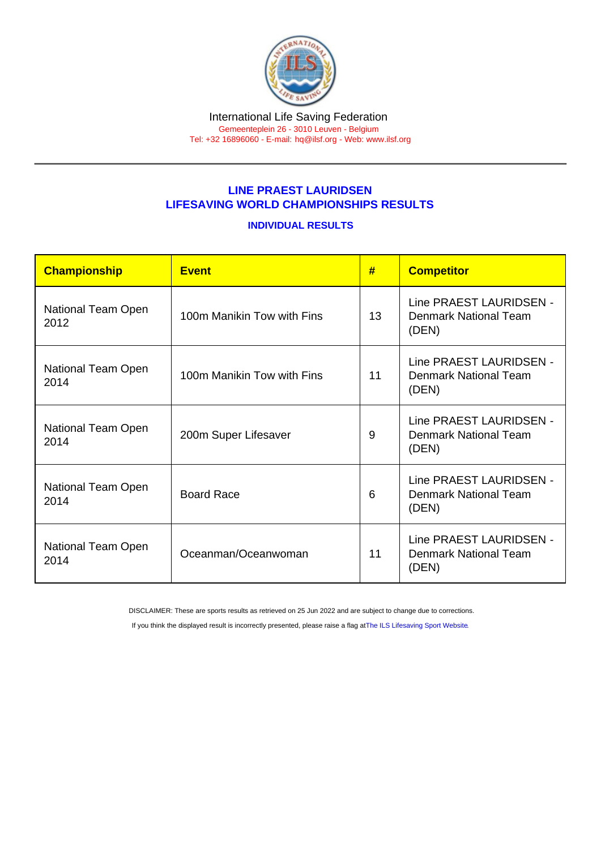## LINE PRAEST LAURIDSEN LIFESAVING WORLD CHAMPIONSHIPS RESULTS

## INDIVIDUAL RESULTS

| Championship               | <b>Event</b>               | #  | <b>Competitor</b>                                                |
|----------------------------|----------------------------|----|------------------------------------------------------------------|
| National Team Open<br>2012 | 100m Manikin Tow with Fins | 13 | Line PRAEST LAURIDSEN -<br>Denmark National Team<br>(DEN)        |
| National Team Open<br>2014 | 100m Manikin Tow with Fins | 11 | Line PRAEST LAURIDSEN -<br><b>Denmark National Team</b><br>(DEN) |
| National Team Open<br>2014 | 200m Super Lifesaver       | 9  | Line PRAEST LAURIDSEN -<br><b>Denmark National Team</b><br>(DEN) |
| National Team Open<br>2014 | <b>Board Race</b>          | 6  | Line PRAEST LAURIDSEN -<br>Denmark National Team<br>(DEN)        |
| National Team Open<br>2014 | Oceanman/Oceanwoman        | 11 | Line PRAEST LAURIDSEN -<br>Denmark National Team<br>(DEN)        |

DISCLAIMER: These are sports results as retrieved on 25 Jun 2022 and are subject to change due to corrections.

If you think the displayed result is incorrectly presented, please raise a flag at [The ILS Lifesaving Sport Website.](https://sport.ilsf.org)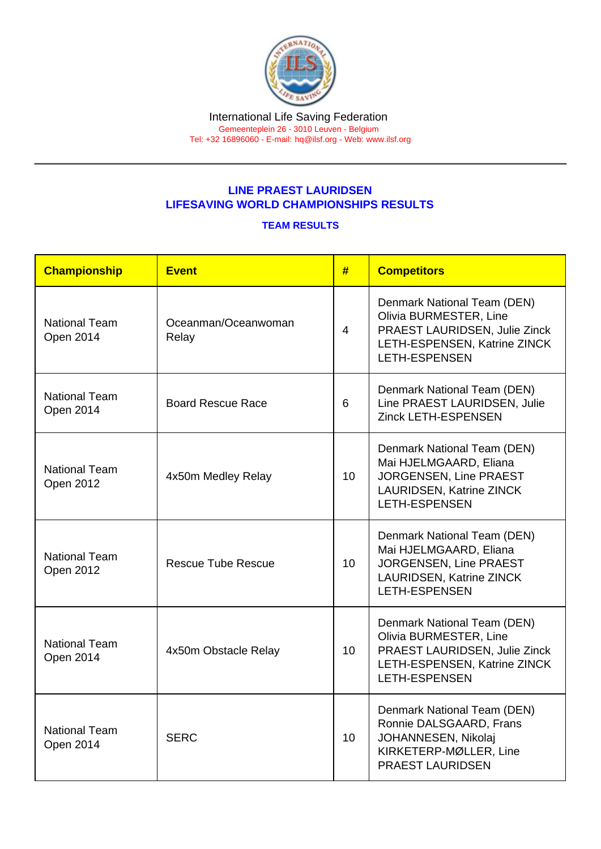## LINE PRAEST LAURIDSEN LIFESAVING WORLD CHAMPIONSHIPS RESULTS

## TEAM RESULTS

| Championship                      | <b>Event</b>                 | #              | <b>Competitors</b>                                                                                                                             |
|-----------------------------------|------------------------------|----------------|------------------------------------------------------------------------------------------------------------------------------------------------|
| <b>National Team</b><br>Open 2014 | Oceanman/Oceanwoman<br>Relay | $\overline{4}$ | Denmark National Team (DEN)<br>Olivia BURMESTER, Line<br>PRAEST LAURIDSEN, Julie Zinck<br>LETH-ESPENSEN, Katrine ZINCK<br><b>LETH-ESPENSEN</b> |
| <b>National Team</b><br>Open 2014 | <b>Board Rescue Race</b>     | 6              | Denmark National Team (DEN)<br>Line PRAEST LAURIDSEN, Julie<br>Zinck LETH-ESPENSEN                                                             |
| <b>National Team</b><br>Open 2012 | 4x50m Medley Relay           | 10             | Denmark National Team (DEN)<br>Mai HJELMGAARD, Eliana<br>JORGENSEN, Line PRAEST<br><b>LAURIDSEN, Katrine ZINCK</b><br><b>LETH-ESPENSEN</b>     |
| <b>National Team</b><br>Open 2012 | <b>Rescue Tube Rescue</b>    | 10             | Denmark National Team (DEN)<br>Mai HJELMGAARD, Eliana<br>JORGENSEN, Line PRAEST<br>LAURIDSEN, Katrine ZINCK<br><b>LETH-ESPENSEN</b>            |
| <b>National Team</b><br>Open 2014 | 4x50m Obstacle Relay         | 10             | Denmark National Team (DEN)<br>Olivia BURMESTER, Line<br>PRAEST LAURIDSEN, Julie Zinck<br>LETH-ESPENSEN, Katrine ZINCK<br><b>LETH-ESPENSEN</b> |
| <b>National Team</b><br>Open 2014 | <b>SERC</b>                  | 10             | Denmark National Team (DEN)<br>Ronnie DALSGAARD, Frans<br>JOHANNESEN, Nikolaj<br>KIRKETERP-MØLLER, Line<br><b>PRAEST LAURIDSEN</b>             |